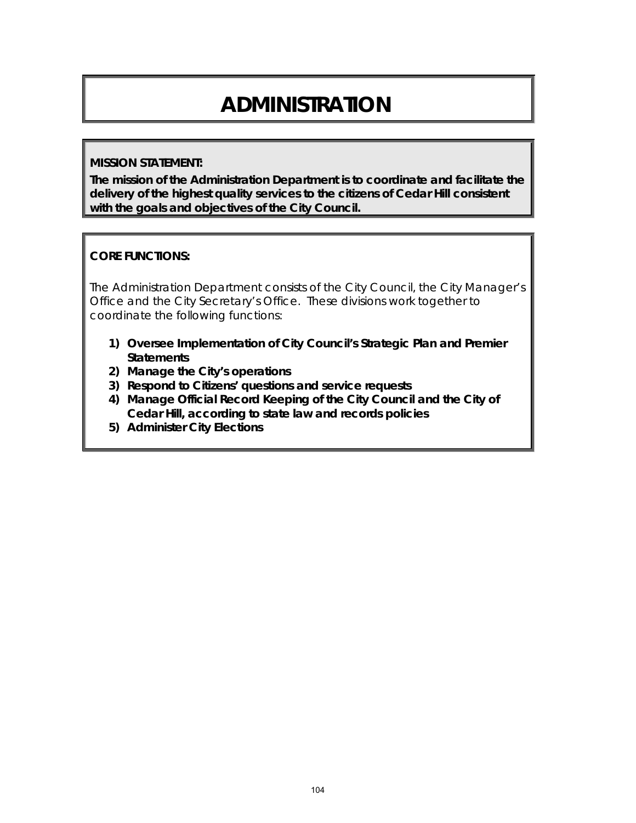# **ADMINISTRATION**

#### **MISSION STATEMENT:**

**The mission of the Administration Department is to coordinate and facilitate the delivery of the highest quality services to the citizens of Cedar Hill consistent with the goals and objectives of the City Council.**

#### **CORE FUNCTIONS:**

The Administration Department consists of the City Council, the City Manager's Office and the City Secretary's Office. These divisions work together to coordinate the following functions:

- **1) Oversee Implementation of City Council's Strategic Plan and Premier Statements**
- **2) Manage the City's operations**
- **3) Respond to Citizens' questions and service requests**
- **4) Manage Official Record Keeping of the City Council and the City of Cedar Hill, according to state law and records policies**
- **5) Administer City Elections**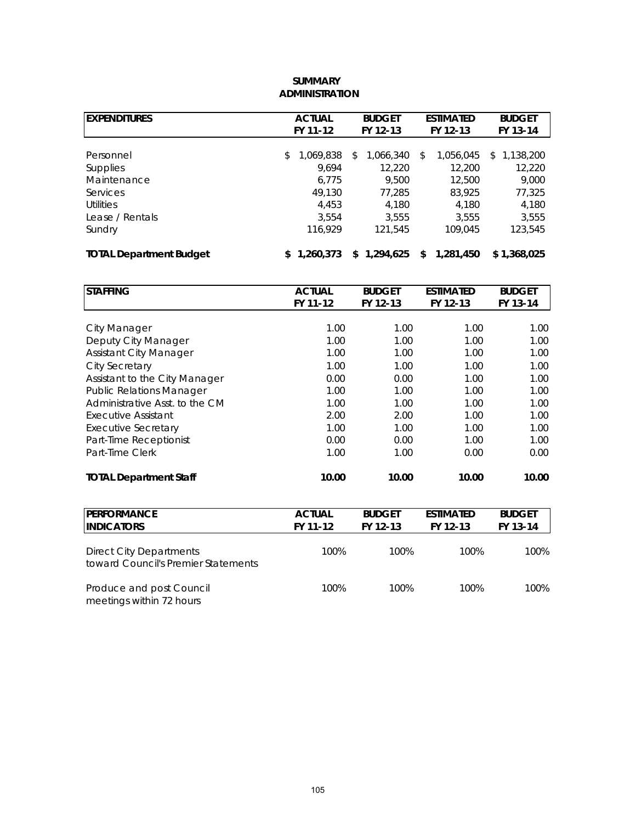| <b>EXPENDITURES</b>            | <b>ACTUAL</b>   | <b>BUDGET</b>   | <b>ESTIMATED</b> | <b>BUDGET</b>   |
|--------------------------------|-----------------|-----------------|------------------|-----------------|
|                                | FY 11-12        | FY 12-13        | FY 12-13         | FY 13-14        |
|                                |                 |                 |                  |                 |
| Personnel                      | 1,069,838<br>\$ | 1,066,340<br>\$ | 1.056.045<br>\$  | 1,138,200<br>\$ |
| <b>Supplies</b>                | 9.694           | 12.220          | 12,200           | 12,220          |
| Maintenance                    | 6,775           | 9,500           | 12,500           | 9,000           |
| Services                       | 49.130          | 77.285          | 83,925           | 77,325          |
| <b>Utilities</b>               | 4.453           | 4.180           | 4.180            | 4,180           |
| Lease / Rentals                | 3.554           | 3.555           | 3.555            | 3,555           |
| Sundry                         | 116,929         | 121.545         | 109,045          | 123,545         |
| <b>TOTAL Department Budget</b> | 1.260.373       | 1,294,625<br>S. | 1,281,450<br>\$  | \$1,368,025     |

#### **SUMMARY ADMINISTRATION**

| <b>STAFFING</b>                 | <b>ACTUAL</b> | <b>BUDGET</b> | <b>ESTIMATED</b> | <b>BUDGET</b> |
|---------------------------------|---------------|---------------|------------------|---------------|
|                                 | FY 11-12      | FY 12-13      | FY 12-13         | FY 13-14      |
|                                 |               |               |                  |               |
| <b>City Manager</b>             | 1.00          | 1.00          | 1.00             | 1.00          |
| Deputy City Manager             | 1.00          | 1.00          | 1.00             | 1.00          |
| <b>Assistant City Manager</b>   | 1.00          | 1.00          | 1.00             | 1.00          |
| <b>City Secretary</b>           | 1.00          | 1.00          | 1.00             | 1.00          |
| Assistant to the City Manager   | 0.00          | 0.00          | 1.00             | 1.00          |
| <b>Public Relations Manager</b> | 1.00          | 1.00          | 1.00             | 1.00          |
| Administrative Asst. to the CM  | 1.00          | 1.00          | 1.00             | 1.00          |
| <b>Executive Assistant</b>      | 2.00          | 2.00          | 1.00             | 1.00          |
| <b>Executive Secretary</b>      | 1.00          | 1.00          | 1.00             | 1.00          |
| Part-Time Receptionist          | 0.00          | 0.00          | 1.00             | 1.00          |
| Part-Time Clerk                 | 1.00          | 1.00          | 0.00             | 0.00          |
| <b>TOTAL Department Staff</b>   | 10.00         | 10.00         | 10.00            | 10.00         |

| <b>PERFORMANCE</b><br><b>IINDICATORS</b>                              | <b>ACTUAL</b><br>FY 11-12 | <b>BUDGET</b><br>FY 12-13 | <b>ESTIMATED</b><br>FY 12-13 | <b>BUDGET</b><br>FY 13-14 |
|-----------------------------------------------------------------------|---------------------------|---------------------------|------------------------------|---------------------------|
| <b>Direct City Departments</b><br>toward Council's Premier Statements | 100%                      | 100%                      | 100%                         | 100%                      |
| Produce and post Council<br>meetings within 72 hours                  | 100%                      | 100%                      | 100%                         | 100%                      |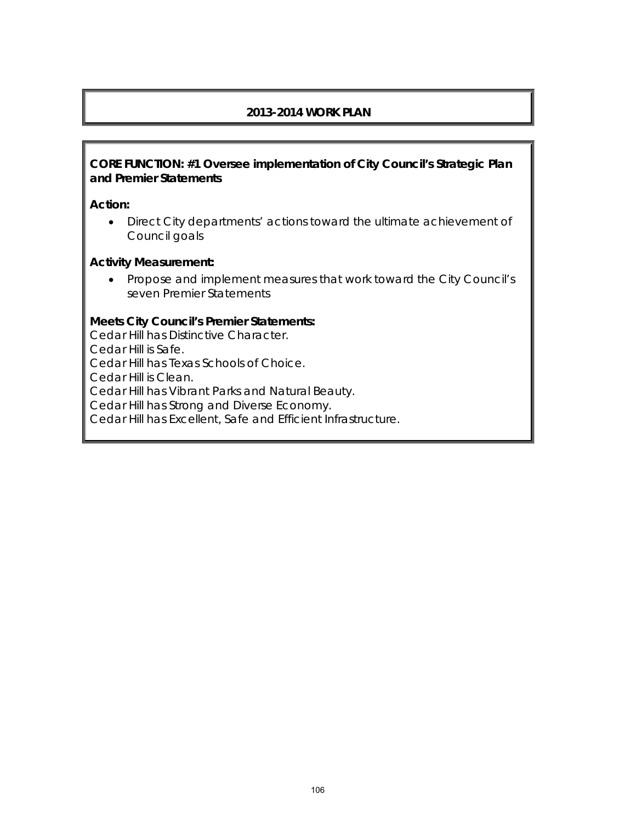## **2013-2014 WORK PLAN**

#### **CORE FUNCTION: #1 Oversee implementation of City Council's Strategic Plan and Premier Statements**

#### **Action:**

• Direct City departments' actions toward the ultimate achievement of Council goals

#### **Activity Measurement:**

• Propose and implement measures that work toward the City Council's seven Premier Statements

#### **Meets City Council's Premier Statements:**

Cedar Hill has Distinctive Character. Cedar Hill is Safe. Cedar Hill has Texas Schools of Choice. Cedar Hill is Clean. Cedar Hill has Vibrant Parks and Natural Beauty. Cedar Hill has Strong and Diverse Economy. Cedar Hill has Excellent, Safe and Efficient Infrastructure.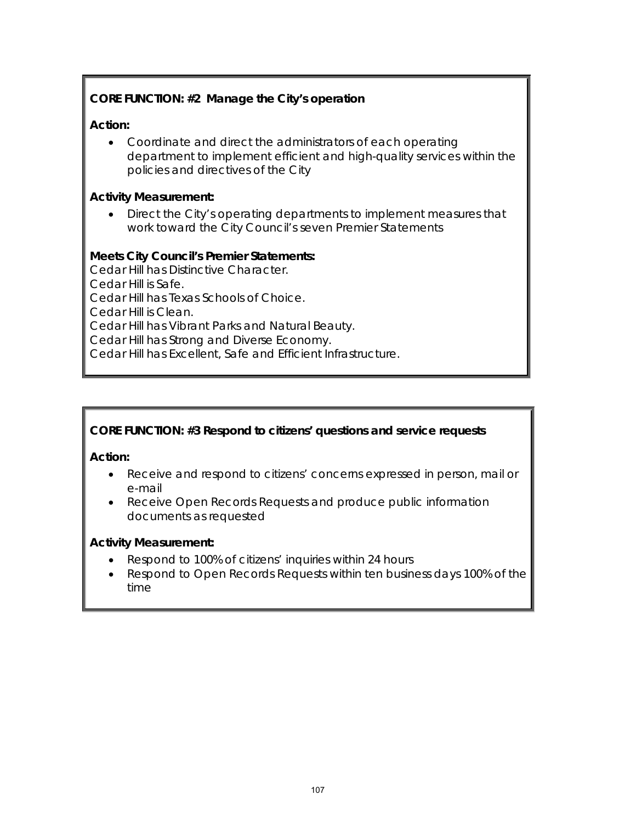# **CORE FUNCTION: #2 Manage the City's operation**

# **Action:**

• Coordinate and direct the administrators of each operating department to implement efficient and high-quality services within the policies and directives of the City

## **Activity Measurement:**

• Direct the City's operating departments to implement measures that work toward the City Council's seven Premier Statements

## **Meets City Council's Premier Statements:**

Cedar Hill has Distinctive Character. Cedar Hill is Safe. Cedar Hill has Texas Schools of Choice. Cedar Hill is Clean. Cedar Hill has Vibrant Parks and Natural Beauty. Cedar Hill has Strong and Diverse Economy. Cedar Hill has Excellent, Safe and Efficient Infrastructure.

# **CORE FUNCTION: #3 Respond to citizens' questions and service requests**

**Action:** 

- Receive and respond to citizens' concerns expressed in person, mail or e-mail
- Receive Open Records Requests and produce public information documents as requested

# **Activity Measurement:**

- Respond to 100% of citizens' inquiries within 24 hours
- Respond to Open Records Requests within ten business days 100% of the time